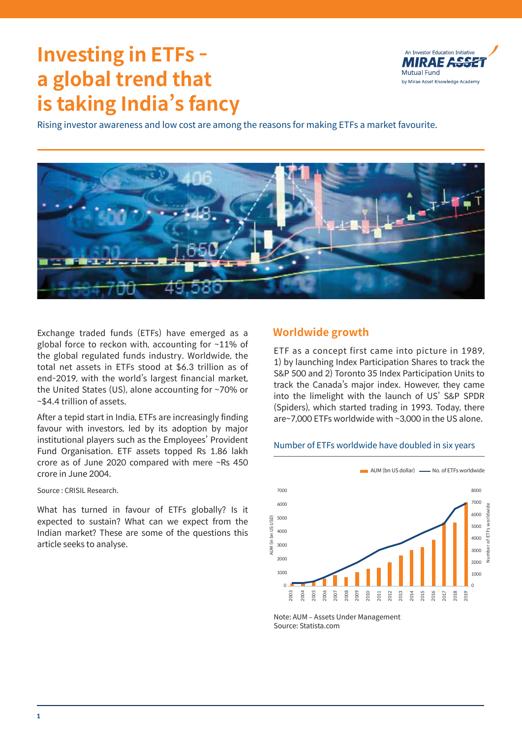# **Investing in ETFs a global trend that is taking India's fancy**



Rising investor awareness and low cost are among the reasons for making ETFs a market favourite.



Exchange traded funds (ETFs) have emerged as a global force to reckon with, accounting for ~11% of the global regulated funds industry. Worldwide, the total net assets in ETFs stood at \$6.3 trillion as of end-2019, with the world's largest financial market, the United States (US), alone accounting for ~70% or ~\$4.4 trillion of assets.

After a tepid start in India, ETFs are increasingly finding favour with investors, led by its adoption by major institutional players such as the Employees' Provident Fund Organisation. ETF assets topped Rs 1.86 lakh crore as of June 2020 compared with mere ~Rs 450 crore in June 2004.

Source : CRISIL Research.

What has turned in favour of ETFs globally? Is it expected to sustain? What can we expect from the Indian market? These are some of the questions this article seeks to analyse.

# **Worldwide growth**

ETF as a concept first came into picture in 1989, 1) by launching Index Participation Shares to track the S&P 500 and 2) Toronto 35 Index Participation Units to track the Canada's major index. However, they came into the limelight with the launch of US' S&P SPDR (Spiders), which started trading in 1993. Today, there are~7,000 ETFs worldwide with ~3,000 in the US alone.

## Number of ETFs worldwide have doubled in six years



Note: AUM – Assets Under Management Source: Statista.com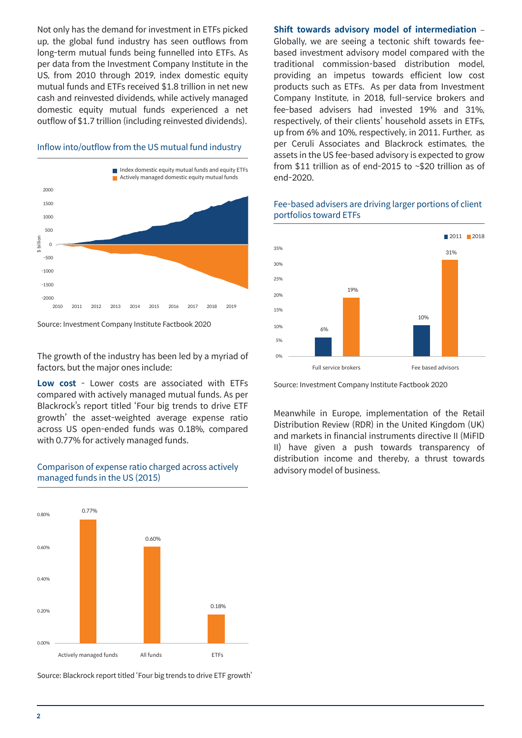Not only has the demand for investment in ETFs picked up, the global fund industry has seen outflows from long-term mutual funds being funnelled into ETFs. As per data from the Investment Company Institute in the US, from 2010 through 2019, index domestic equity mutual funds and ETFs received \$1.8 trillion in net new cash and reinvested dividends, while actively managed domestic equity mutual funds experienced a net outflow of \$1.7 trillion (including reinvested dividends).

#### Inflow into/outflow from the US mutual fund industry





The growth of the industry has been led by a myriad of factors, but the major ones include:

**Low cost** - Lower costs are associated with ETFs compared with actively managed mutual funds. As per Blackrock's report titled 'Four big trends to drive ETF growth' the asset-weighted average expense ratio across US open-ended funds was 0.18%, compared with 0.77% for actively managed funds.

#### Comparison of expense ratio charged across actively managed funds in the US (2015)



Source: Blackrock report titled 'Four big trends to drive ETF growth'

**Shift towards advisory model of intermediation** – Globally, we are seeing a tectonic shift towards feebased investment advisory model compared with the traditional commission-based distribution model, providing an impetus towards efficient low cost products such as ETFs. As per data from Investment Company Institute, in 2018, full-service brokers and fee-based advisers had invested 19% and 31%, respectively, of their clients' household assets in ETFs, up from 6% and 10%, respectively, in 2011. Further, as per Ceruli Associates and Blackrock estimates, the assets in the US fee-based advisory is expected to grow from \$11 trillion as of end-2015 to ~\$20 trillion as of end-2020.



#### Fee-based advisers are driving larger portions of client portfolios toward ETFs

Source: Investment Company Institute Factbook 2020

Meanwhile in Europe, implementation of the Retail Distribution Review (RDR) in the United Kingdom (UK) and markets in financial instruments directive II (MiFID II) have given a push towards transparency of distribution income and thereby, a thrust towards advisory model of business.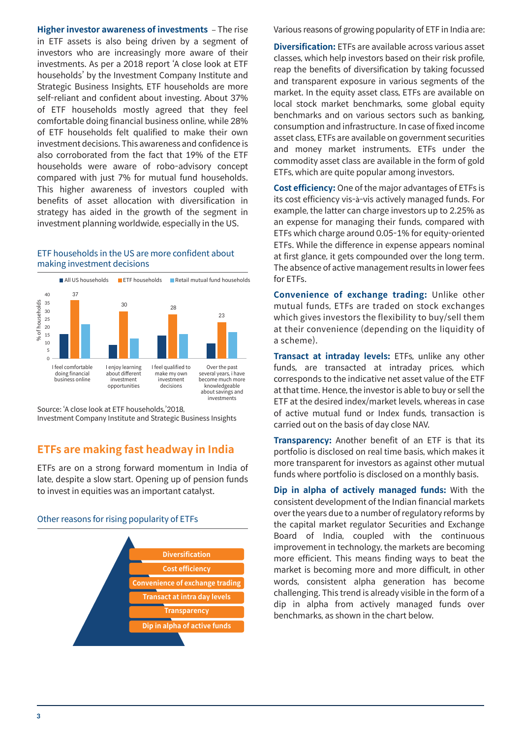**Higher investor awareness of investments** – The rise Various reasons of growing popularity of ETF in India are: in ETF assets is also being driven by a segment of investors who are increasingly more aware of their investments. As per a 2018 report 'A close look at ETF households' by the Investment Company Institute and Strategic Business Insights, ETF households are more self-reliant and confident about investing. About 37% of ETF households mostly agreed that they feel comfortable doing financial business online, while 28% of ETF households felt qualified to make their own investment decisions. This awareness and confidence is also corroborated from the fact that 19% of the ETF households were aware of robo-advisory concept compared with just 7% for mutual fund households. This higher awareness of investors coupled with benefits of asset allocation with diversification in strategy has aided in the growth of the segment in investment planning worldwide, especially in the US.

## ETF households in the US are more confident about making investment decisions



Source: 'A close look at ETF households,'2018,

Investment Company Institute and Strategic Business Insights

# **ETFs are making fast headway in India**

ETFs are on a strong forward momentum in India of late, despite a slow start. Opening up of pension funds to invest in equities was an important catalyst.

## Other reasons for rising popularity of ETFs



**Diversification:** ETFs are available across various asset classes, which help investors based on their risk profile, reap the benefits of diversification by taking focussed and transparent exposure in various segments of the market. In the equity asset class, ETFs are available on local stock market benchmarks, some global equity benchmarks and on various sectors such as banking, consumption and infrastructure. In case of fixed income asset class, ETFs are available on government securities and money market instruments. ETFs under the commodity asset class are available in the form of gold ETFs, which are quite popular among investors.

**Cost efficiency:** One of the major advantages of ETFs is its cost efficiency vis-à-vis actively managed funds. For example, the latter can charge investors up to 2.25% as an expense for managing their funds, compared with ETFs which charge around 0.05-1% for equity-oriented ETFs. While the difference in expense appears nominal at first glance, it gets compounded over the long term. The absence of active management results in lower fees for ETFs.

**Convenience of exchange trading:** Unlike other mutual funds, ETFs are traded on stock exchanges which gives investors the flexibility to buy/sell them at their convenience (depending on the liquidity of a scheme).

**Transact at intraday levels:** ETFs, unlike any other funds, are transacted at intraday prices, which corresponds to the indicative net asset value of the ETF at that time. Hence, the investor is able to buy or sell the ETF at the desired index/market levels, whereas in case of active mutual fund or Index funds, transaction is carried out on the basis of day close NAV.

**Transparency:** Another benefit of an ETF is that its portfolio is disclosed on real time basis, which makes it more transparent for investors as against other mutual funds where portfolio is disclosed on a monthly basis.

**Dip in alpha of actively managed funds:** With the consistent development of the Indian financial markets over the years due to a number of regulatory reforms by the capital market regulator Securities and Exchange Board of India, coupled with the continuous improvement in technology, the markets are becoming more efficient. This means finding ways to beat the market is becoming more and more difficult, in other words, consistent alpha generation has become challenging. This trend is already visible in the form of a dip in alpha from actively managed funds over benchmarks, as shown in the chart below.